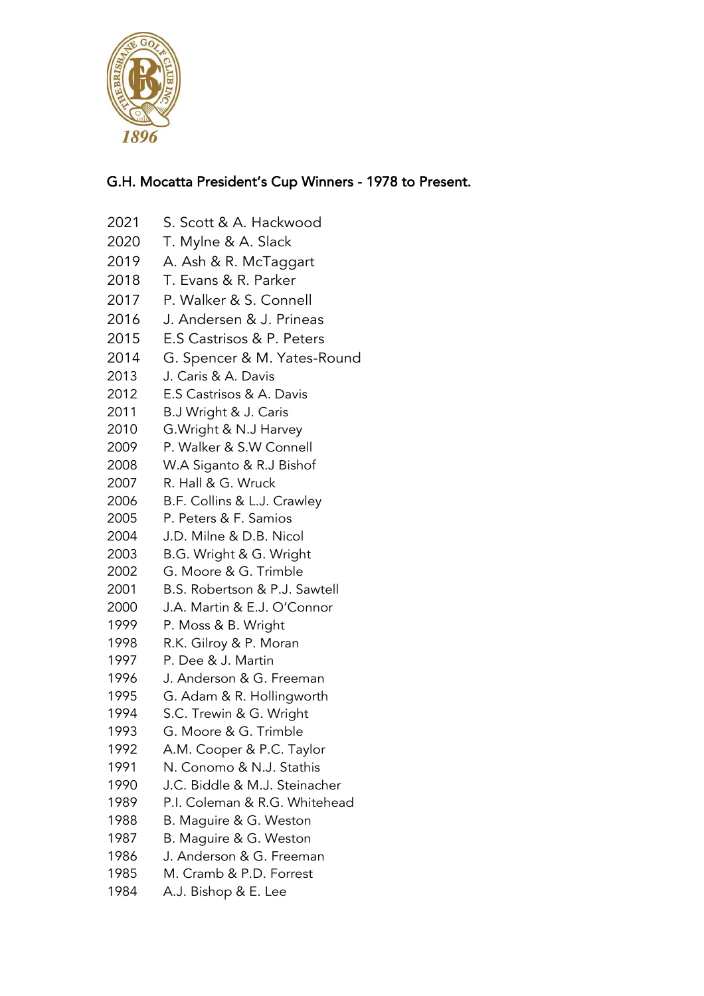

## G.H. Mocatta President's Cup Winners - 1978 to Present.

- S. Scott & A. Hackwood
- 2020 T. Mylne & A. Slack
- A. Ash & R. McTaggart
- T. Evans & R. Parker
- P. Walker & S. Connell
- J. Andersen & J. Prineas
- E.S Castrisos & P. Peters
- G. Spencer & M. Yates-Round
- J. Caris & A. Davis
- E.S Castrisos & A. Davis
- B.J Wright & J. Caris
- G.Wright & N.J Harvey
- P. Walker & S.W Connell
- W.A Siganto & R.J Bishof
- R. Hall & G. Wruck
- B.F. Collins & L.J. Crawley
- P. Peters & F. Samios
- J.D. Milne & D.B. Nicol
- B.G. Wright & G. Wright
- G. Moore & G. Trimble
- B.S. Robertson & P.J. Sawtell
- J.A. Martin & E.J. O'Connor
- P. Moss & B. Wright
- R.K. Gilroy & P. Moran
- P. Dee & J. Martin
- J. Anderson & G. Freeman
- G. Adam & R. Hollingworth
- S.C. Trewin & G. Wright
- G. Moore & G. Trimble
- A.M. Cooper & P.C. Taylor
- N. Conomo & N.J. Stathis
- J.C. Biddle & M.J. Steinacher
- P.I. Coleman & R.G. Whitehead
- B. Maguire & G. Weston
- B. Maguire & G. Weston
- J. Anderson & G. Freeman
- M. Cramb & P.D. Forrest
- A.J. Bishop & E. Lee